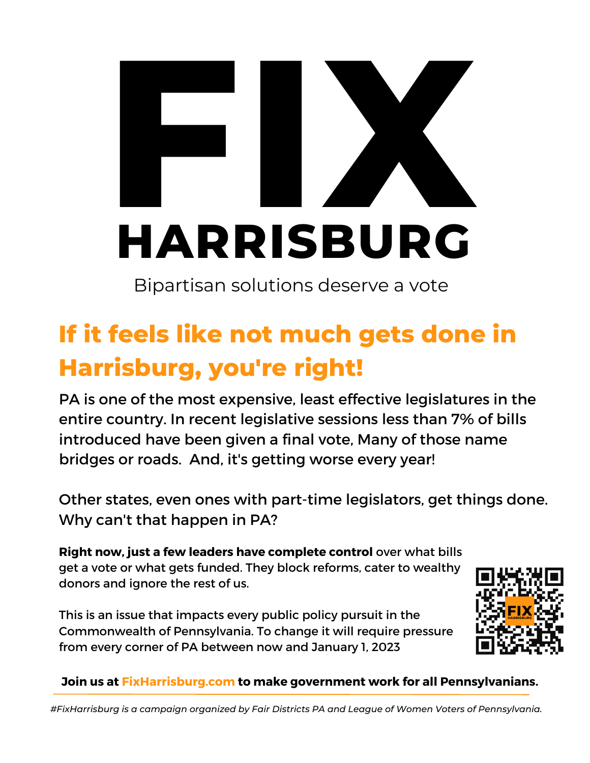# HARPISRUP **HARRIS I**<br>PISRUE **ISB URG X**<br>RUDG

Bipartisan solutions deserve a vote

# **If it feels like not much gets done in Harrisburg, you're right!**

PA is one of the most expensive, least effective legislatures in the entire country. In recent legislative sessions less than 7% of bills introduced have been given a final vote, Many of those name bridges or roads. And, it's getting worse every year!

Other states, even ones with part-time legislators, get things done. Why can't that happen in PA?

**Right now, just a few leaders have complete control** over what bills get a vote or what gets funded. They block reforms, cater to wealthy donors and ignore the rest of us.

This is an issue that impacts every public policy pursuit in the Commonwealth of Pennsylvania. To change it will require pressure from every corner of PA between now and January 1, 2023



#### **Join us at FixHarrisburg.com to make government work for all Pennsylvanians.**

*#FixHarrisburg is a campaign organized by Fair Districts PA and League of Women Voters of Pennsylvania.*